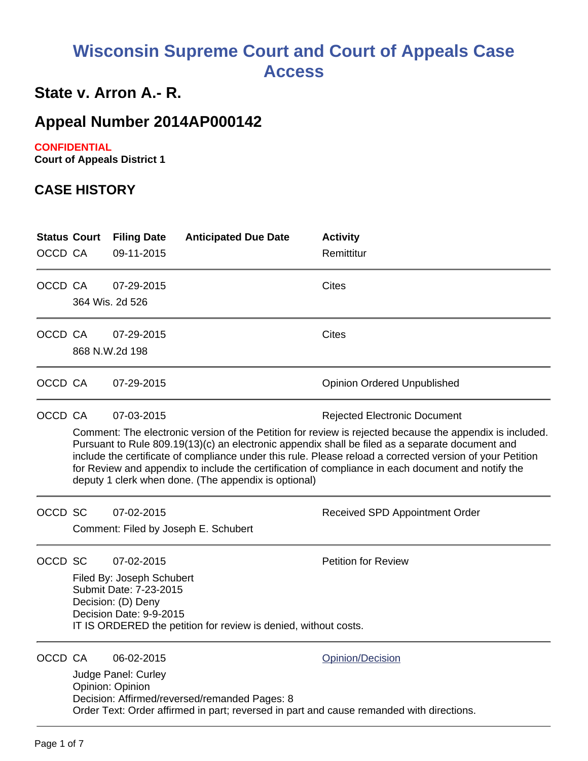# **Wisconsin Supreme Court and Court of Appeals Case Access**

## **State v. Arron A.- R.**

# **Appeal Number 2014AP000142**

### **CONFIDENTIAL**

**Court of Appeals District 1**

### **CASE HISTORY**

| <b>Status Court</b><br>OCCD CA |                                                                                                                                                                                                                                                                                                                                                                                                                                                                                                                                             | <b>Filing Date</b><br>09-11-2015                                                                                   | <b>Anticipated Due Date</b>                                     | <b>Activity</b><br>Remittitur                                                                                |  |
|--------------------------------|---------------------------------------------------------------------------------------------------------------------------------------------------------------------------------------------------------------------------------------------------------------------------------------------------------------------------------------------------------------------------------------------------------------------------------------------------------------------------------------------------------------------------------------------|--------------------------------------------------------------------------------------------------------------------|-----------------------------------------------------------------|--------------------------------------------------------------------------------------------------------------|--|
| OCCD CA                        |                                                                                                                                                                                                                                                                                                                                                                                                                                                                                                                                             | 07-29-2015<br>364 Wis. 2d 526                                                                                      |                                                                 | Cites                                                                                                        |  |
| OCCD CA                        |                                                                                                                                                                                                                                                                                                                                                                                                                                                                                                                                             | 07-29-2015<br>868 N.W.2d 198                                                                                       |                                                                 | <b>Cites</b>                                                                                                 |  |
| OCCD CA                        |                                                                                                                                                                                                                                                                                                                                                                                                                                                                                                                                             | 07-29-2015                                                                                                         |                                                                 | <b>Opinion Ordered Unpublished</b>                                                                           |  |
| OCCD CA                        | 07-03-2015<br><b>Rejected Electronic Document</b><br>Comment: The electronic version of the Petition for review is rejected because the appendix is included.<br>Pursuant to Rule 809.19(13)(c) an electronic appendix shall be filed as a separate document and<br>include the certificate of compliance under this rule. Please reload a corrected version of your Petition<br>for Review and appendix to include the certification of compliance in each document and notify the<br>deputy 1 clerk when done. (The appendix is optional) |                                                                                                                    |                                                                 |                                                                                                              |  |
| OCCD SC                        |                                                                                                                                                                                                                                                                                                                                                                                                                                                                                                                                             | 07-02-2015                                                                                                         | Comment: Filed by Joseph E. Schubert                            | Received SPD Appointment Order                                                                               |  |
| OCCD SC                        |                                                                                                                                                                                                                                                                                                                                                                                                                                                                                                                                             | 07-02-2015<br>Filed By: Joseph Schubert<br>Submit Date: 7-23-2015<br>Decision: (D) Deny<br>Decision Date: 9-9-2015 | IT IS ORDERED the petition for review is denied, without costs. | <b>Petition for Review</b>                                                                                   |  |
| OCCD CA                        |                                                                                                                                                                                                                                                                                                                                                                                                                                                                                                                                             | 06-02-2015<br>Judge Panel: Curley<br>Opinion: Opinion                                                              | Decision: Affirmed/reversed/remanded Pages: 8                   | Opinion/Decision<br>Order Text: Order affirmed in part; reversed in part and cause remanded with directions. |  |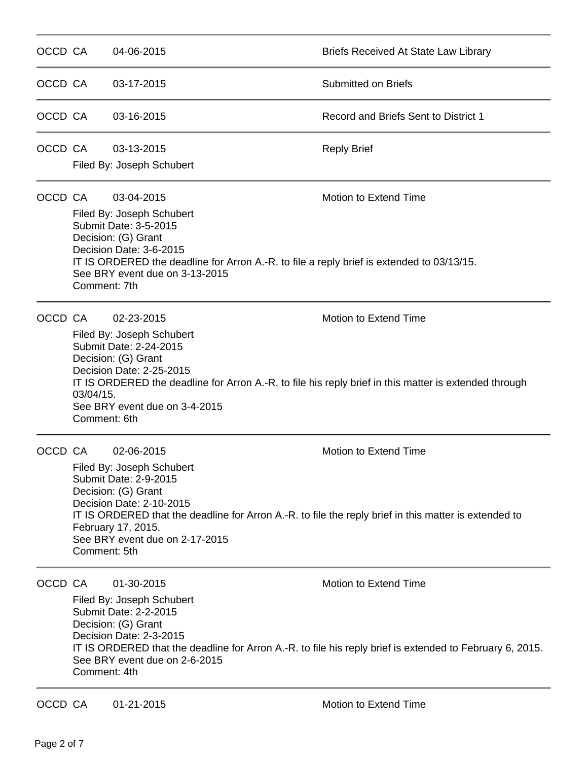| OCCD CA |                                                                                                                                                                                                                                                                                                   | 04-06-2015                                                                                                                                                                                                                                                                                                                    | <b>Briefs Received At State Law Library</b>                                                                                       |  |  |
|---------|---------------------------------------------------------------------------------------------------------------------------------------------------------------------------------------------------------------------------------------------------------------------------------------------------|-------------------------------------------------------------------------------------------------------------------------------------------------------------------------------------------------------------------------------------------------------------------------------------------------------------------------------|-----------------------------------------------------------------------------------------------------------------------------------|--|--|
| OCCD CA |                                                                                                                                                                                                                                                                                                   | 03-17-2015                                                                                                                                                                                                                                                                                                                    | <b>Submitted on Briefs</b>                                                                                                        |  |  |
| OCCD CA |                                                                                                                                                                                                                                                                                                   | 03-16-2015                                                                                                                                                                                                                                                                                                                    | Record and Briefs Sent to District 1                                                                                              |  |  |
| OCCD CA |                                                                                                                                                                                                                                                                                                   | 03-13-2015<br>Filed By: Joseph Schubert                                                                                                                                                                                                                                                                                       | <b>Reply Brief</b>                                                                                                                |  |  |
| OCCD CA | <b>Motion to Extend Time</b><br>03-04-2015<br>Filed By: Joseph Schubert<br>Submit Date: 3-5-2015<br>Decision: (G) Grant<br>Decision Date: 3-6-2015<br>IT IS ORDERED the deadline for Arron A.-R. to file a reply brief is extended to 03/13/15.<br>See BRY event due on 3-13-2015<br>Comment: 7th |                                                                                                                                                                                                                                                                                                                               |                                                                                                                                   |  |  |
|         | OCCD CA<br>$03/04/15$ .<br>Comment: 6th                                                                                                                                                                                                                                                           | 02-23-2015<br>Filed By: Joseph Schubert<br>Submit Date: 2-24-2015<br>Decision: (G) Grant<br>Decision Date: 2-25-2015<br>See BRY event due on 3-4-2015                                                                                                                                                                         | Motion to Extend Time<br>IT IS ORDERED the deadline for Arron A.-R. to file his reply brief in this matter is extended through    |  |  |
| OCCD CA |                                                                                                                                                                                                                                                                                                   | 02-06-2015<br>Motion to Extend Time<br>Filed By: Joseph Schubert<br>Submit Date: 2-9-2015<br>Decision: (G) Grant<br>Decision Date: 2-10-2015<br>IT IS ORDERED that the deadline for Arron A.-R. to file the reply brief in this matter is extended to<br>February 17, 2015.<br>See BRY event due on 2-17-2015<br>Comment: 5th |                                                                                                                                   |  |  |
| OCCD CA | Comment: 4th                                                                                                                                                                                                                                                                                      | 01-30-2015<br>Filed By: Joseph Schubert<br>Submit Date: 2-2-2015<br>Decision: (G) Grant<br>Decision Date: 2-3-2015<br>See BRY event due on 2-6-2015                                                                                                                                                                           | Motion to Extend Time<br>IT IS ORDERED that the deadline for Arron A.-R. to file his reply brief is extended to February 6, 2015. |  |  |

OCCD CA 01-21-2015 Motion to Extend Time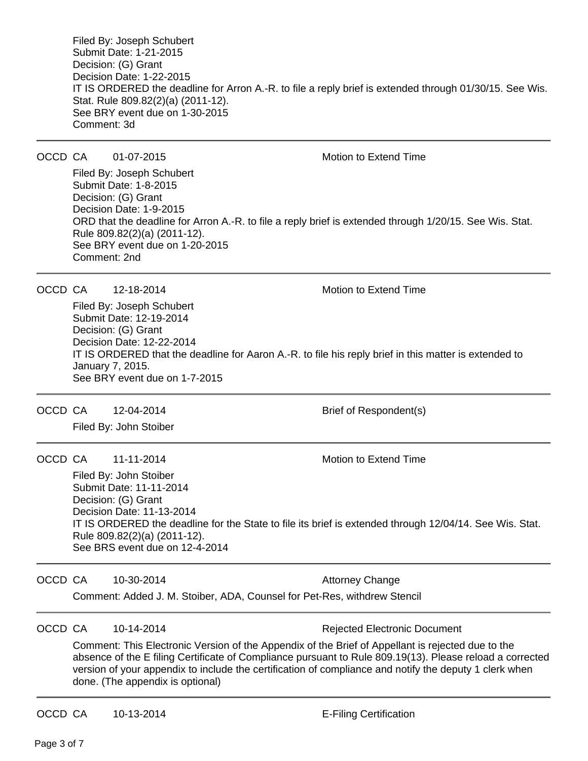Filed By: Joseph Schubert Submit Date: 1-21-2015 Decision: (G) Grant Decision Date: 1-22-2015 IT IS ORDERED the deadline for Arron A.-R. to file a reply brief is extended through 01/30/15. See Wis. Stat. Rule 809.82(2)(a) (2011-12). See BRY event due on 1-30-2015 Comment: 3d

OCCD CA  $01-07-2015$  Motion to Extend Time

Filed By: Joseph Schubert Submit Date: 1-8-2015 Decision: (G) Grant Decision Date: 1-9-2015 ORD that the deadline for Arron A.-R. to file a reply brief is extended through 1/20/15. See Wis. Stat. Rule 809.82(2)(a) (2011-12). See BRY event due on 1-20-2015 Comment: 2nd

OCCD CA 12-18-2014 Motion to Extend Time

Filed By: Joseph Schubert Submit Date: 12-19-2014 Decision: (G) Grant Decision Date: 12-22-2014 IT IS ORDERED that the deadline for Aaron A.-R. to file his reply brief in this matter is extended to January 7, 2015. See BRY event due on 1-7-2015

OCCD CA 12-04-2014 Brief of Respondent(s)

Filed By: John Stoiber

OCCD CA  $11-11-2014$  Motion to Extend Time

Filed By: John Stoiber Submit Date: 11-11-2014 Decision: (G) Grant Decision Date: 11-13-2014 IT IS ORDERED the deadline for the State to file its brief is extended through 12/04/14. See Wis. Stat. Rule 809.82(2)(a) (2011-12). See BRS event due on 12-4-2014

OCCD CA 10-30-2014 **Attorney Change** Comment: Added J. M. Stoiber, ADA, Counsel for Pet-Res, withdrew Stencil

OCCD CA 10-14-2014 **Rejected Electronic Document** 

Comment: This Electronic Version of the Appendix of the Brief of Appellant is rejected due to the absence of the E filing Certificate of Compliance pursuant to Rule 809.19(13). Please reload a corrected version of your appendix to include the certification of compliance and notify the deputy 1 clerk when done. (The appendix is optional)

OCCD CA 10-13-2014 **E-Filing Certification**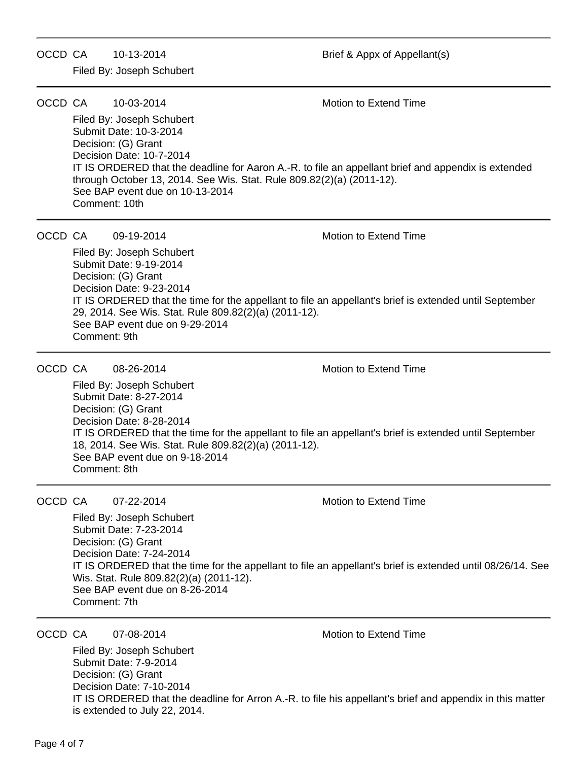OCCD CA 10-13-2014 Brief & Appx of Appellant(s)

Filed By: Joseph Schubert

OCCD CA 10-03-2014 Motion to Extend Time

Filed By: Joseph Schubert Submit Date: 10-3-2014 Decision: (G) Grant Decision Date: 10-7-2014 IT IS ORDERED that the deadline for Aaron A.-R. to file an appellant brief and appendix is extended through October 13, 2014. See Wis. Stat. Rule 809.82(2)(a) (2011-12). See BAP event due on 10-13-2014 Comment: 10th

OCCD CA  $09-19-2014$  Motion to Extend Time

Filed By: Joseph Schubert Submit Date: 9-19-2014 Decision: (G) Grant Decision Date: 9-23-2014 IT IS ORDERED that the time for the appellant to file an appellant's brief is extended until September 29, 2014. See Wis. Stat. Rule 809.82(2)(a) (2011-12). See BAP event due on 9-29-2014 Comment: 9th

OCCD CA  $08-26-2014$  Motion to Extend Time

Filed By: Joseph Schubert Submit Date: 8-27-2014 Decision: (G) Grant Decision Date: 8-28-2014 IT IS ORDERED that the time for the appellant to file an appellant's brief is extended until September 18, 2014. See Wis. Stat. Rule 809.82(2)(a) (2011-12). See BAP event due on 9-18-2014 Comment: 8th

OCCD CA 07-22-2014 Motion to Extend Time

Filed By: Joseph Schubert Submit Date: 7-23-2014 Decision: (G) Grant Decision Date: 7-24-2014 IT IS ORDERED that the time for the appellant to file an appellant's brief is extended until 08/26/14. See Wis. Stat. Rule 809.82(2)(a) (2011-12). See BAP event due on 8-26-2014 Comment: 7th

OCCD CA 07-08-2014 **Motion** Motion to Extend Time

Filed By: Joseph Schubert Submit Date: 7-9-2014 Decision: (G) Grant Decision Date: 7-10-2014 IT IS ORDERED that the deadline for Arron A.-R. to file his appellant's brief and appendix in this matter is extended to July 22, 2014.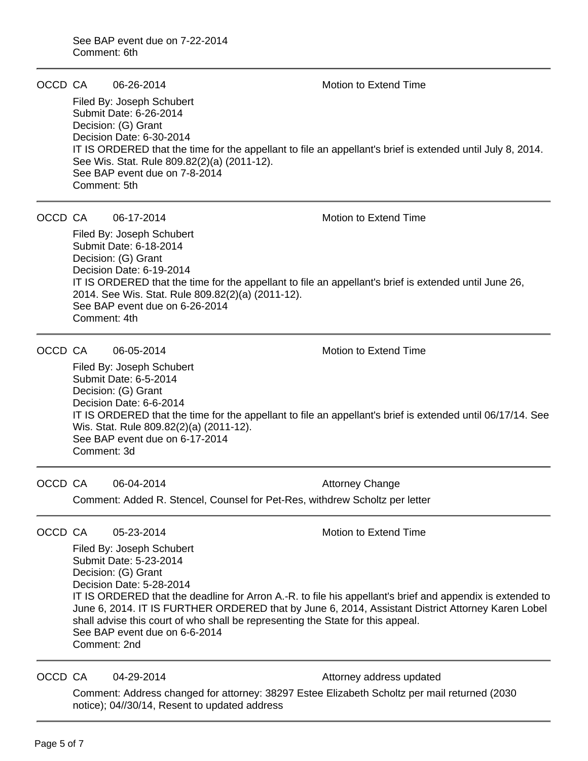#### OCCD CA  $06-26-2014$  Motion to Extend Time

Filed By: Joseph Schubert Submit Date: 6-26-2014 Decision: (G) Grant Decision Date: 6-30-2014 IT IS ORDERED that the time for the appellant to file an appellant's brief is extended until July 8, 2014. See Wis. Stat. Rule 809.82(2)(a) (2011-12). See BAP event due on 7-8-2014 Comment: 5th

### OCCD CA  $06-17-2014$  Motion to Extend Time

Filed By: Joseph Schubert Submit Date: 6-18-2014 Decision: (G) Grant Decision Date: 6-19-2014 IT IS ORDERED that the time for the appellant to file an appellant's brief is extended until June 26, 2014. See Wis. Stat. Rule 809.82(2)(a) (2011-12). See BAP event due on 6-26-2014 Comment: 4th

OCCD CA 06-05-2014 Motion to Extend Time

Filed By: Joseph Schubert Submit Date: 6-5-2014 Decision: (G) Grant Decision Date: 6-6-2014 IT IS ORDERED that the time for the appellant to file an appellant's brief is extended until 06/17/14. See Wis. Stat. Rule 809.82(2)(a) (2011-12). See BAP event due on 6-17-2014 Comment: 3d

OCCD CA 06-04-2014 **Attorney Change** Comment: Added R. Stencel, Counsel for Pet-Res, withdrew Scholtz per letter

OCCD CA  $0.23-2014$  Motion to Extend Time

Filed By: Joseph Schubert Submit Date: 5-23-2014 Decision: (G) Grant Decision Date: 5-28-2014 IT IS ORDERED that the deadline for Arron A.-R. to file his appellant's brief and appendix is extended to June 6, 2014. IT IS FURTHER ORDERED that by June 6, 2014, Assistant District Attorney Karen Lobel shall advise this court of who shall be representing the State for this appeal. See BAP event due on 6-6-2014 Comment: 2nd

OCCD CA 04-29-2014 **Attorney address updated** 

Comment: Address changed for attorney: 38297 Estee Elizabeth Scholtz per mail returned (2030 notice); 04//30/14, Resent to updated address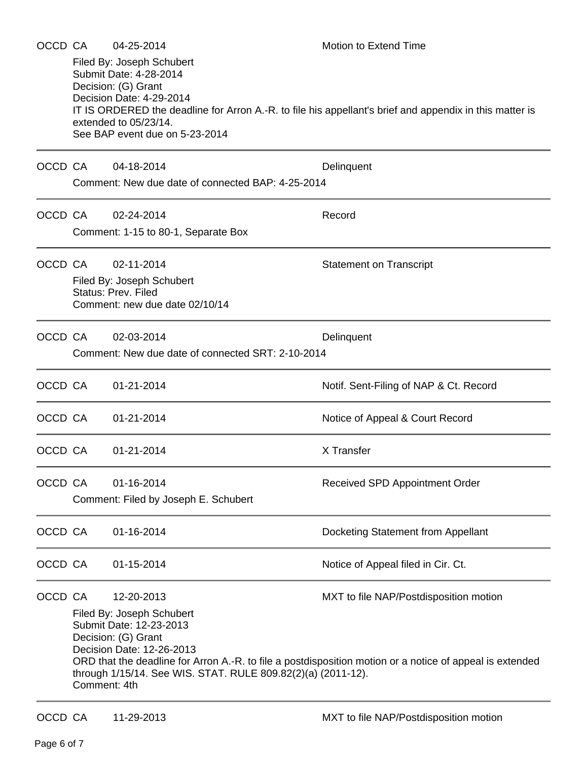| OCCD CA |                                                   | 04-25-2014                                                                                                                                                               | <b>Motion to Extend Time</b>                                                                             |  |  |
|---------|---------------------------------------------------|--------------------------------------------------------------------------------------------------------------------------------------------------------------------------|----------------------------------------------------------------------------------------------------------|--|--|
|         |                                                   | Filed By: Joseph Schubert<br>Submit Date: 4-28-2014<br>Decision: (G) Grant<br>Decision Date: 4-29-2014<br>extended to 05/23/14.<br>See BAP event due on 5-23-2014        | IT IS ORDERED the deadline for Arron A.-R. to file his appellant's brief and appendix in this matter is  |  |  |
| OCCD CA |                                                   | 04-18-2014                                                                                                                                                               | Delinquent                                                                                               |  |  |
|         | Comment: New due date of connected BAP: 4-25-2014 |                                                                                                                                                                          |                                                                                                          |  |  |
| OCCD CA |                                                   | 02-24-2014                                                                                                                                                               | Record                                                                                                   |  |  |
|         | Comment: 1-15 to 80-1, Separate Box               |                                                                                                                                                                          |                                                                                                          |  |  |
| OCCD CA |                                                   | 02-11-2014                                                                                                                                                               | <b>Statement on Transcript</b>                                                                           |  |  |
|         |                                                   | Filed By: Joseph Schubert<br><b>Status: Prev. Filed</b>                                                                                                                  |                                                                                                          |  |  |
|         |                                                   | Comment: new due date 02/10/14                                                                                                                                           |                                                                                                          |  |  |
|         | OCCD CA                                           | 02-03-2014                                                                                                                                                               | Delinquent                                                                                               |  |  |
|         | Comment: New due date of connected SRT: 2-10-2014 |                                                                                                                                                                          |                                                                                                          |  |  |
| OCCD CA |                                                   | 01-21-2014                                                                                                                                                               | Notif. Sent-Filing of NAP & Ct. Record                                                                   |  |  |
| OCCD CA |                                                   | 01-21-2014                                                                                                                                                               | Notice of Appeal & Court Record                                                                          |  |  |
| OCCD CA |                                                   | 01-21-2014                                                                                                                                                               | X Transfer                                                                                               |  |  |
| OCCD CA |                                                   | 01-16-2014                                                                                                                                                               | Received SPD Appointment Order                                                                           |  |  |
|         |                                                   | Comment: Filed by Joseph E. Schubert                                                                                                                                     |                                                                                                          |  |  |
| OCCD CA |                                                   | 01-16-2014                                                                                                                                                               | Docketing Statement from Appellant                                                                       |  |  |
| OCCD CA |                                                   | 01-15-2014                                                                                                                                                               | Notice of Appeal filed in Cir. Ct.                                                                       |  |  |
| OCCD CA |                                                   | 12-20-2013                                                                                                                                                               | MXT to file NAP/Postdisposition motion                                                                   |  |  |
|         | Comment: 4th                                      | Filed By: Joseph Schubert<br>Submit Date: 12-23-2013<br>Decision: (G) Grant<br>Decision Date: 12-26-2013<br>through 1/15/14. See WIS. STAT. RULE 809.82(2)(a) (2011-12). | ORD that the deadline for Arron A.-R. to file a postdisposition motion or a notice of appeal is extended |  |  |